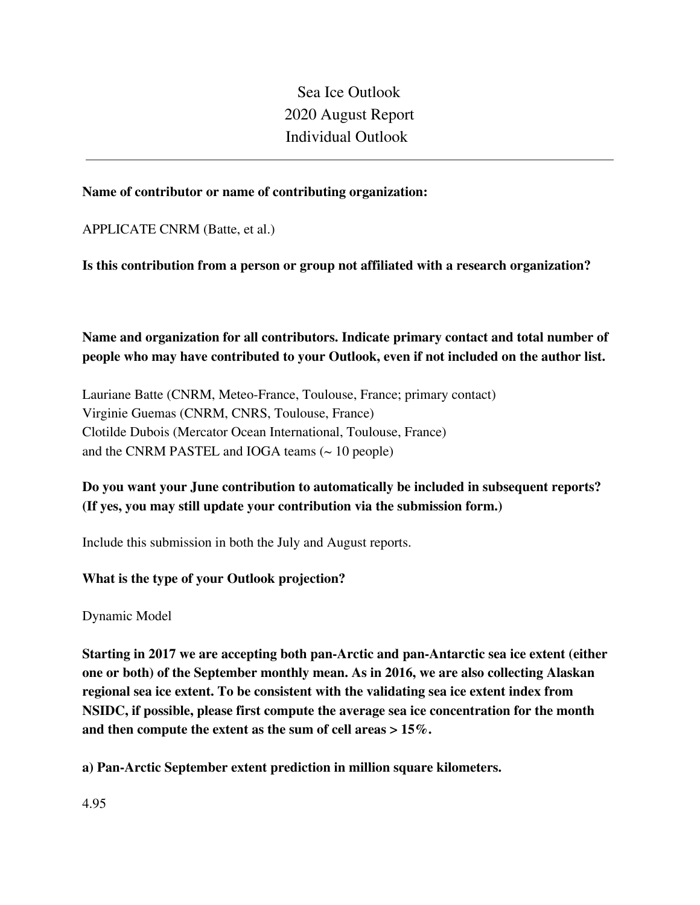Sea Ice Outlook 2020 August Report Individual Outlook

### **Name of contributor or name of contributing organization:**

APPLICATE CNRM (Batte, et al.)

**Is this contribution from a person or group not affiliated with a research organization?** 

**Name and organization for all contributors. Indicate primary contact and total number of people who may have contributed to your Outlook, even if not included on the author list.**

Lauriane Batte (CNRM, Meteo-France, Toulouse, France; primary contact) Virginie Guemas (CNRM, CNRS, Toulouse, France) Clotilde Dubois (Mercator Ocean International, Toulouse, France) and the CNRM PASTEL and IOGA teams  $($   $\sim$  10 people)

# **Do you want your June contribution to automatically be included in subsequent reports? (If yes, you may still update your contribution via the submission form.)**

Include this submission in both the July and August reports.

### **What is the type of your Outlook projection?**

Dynamic Model

**Starting in 2017 we are accepting both pan-Arctic and pan-Antarctic sea ice extent (either one or both) of the September monthly mean. As in 2016, we are also collecting Alaskan regional sea ice extent. To be consistent with the validating sea ice extent index from NSIDC, if possible, please first compute the average sea ice concentration for the month and then compute the extent as the sum of cell areas > 15%.**

**a) Pan-Arctic September extent prediction in million square kilometers.**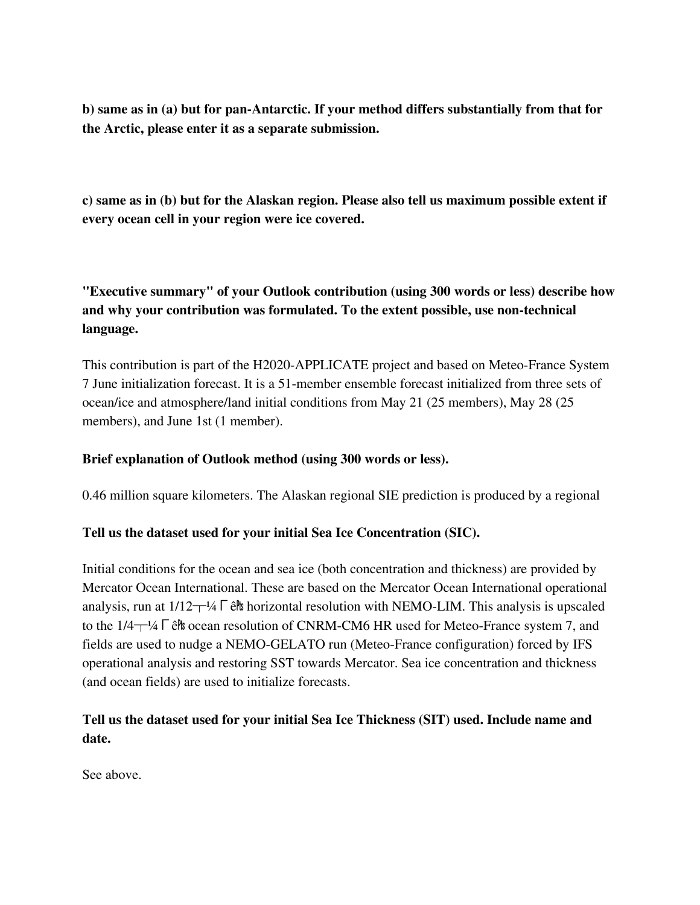**b) same as in (a) but for pan-Antarctic. If your method differs substantially from that for the Arctic, please enter it as a separate submission.**

**c) same as in (b) but for the Alaskan region. Please also tell us maximum possible extent if every ocean cell in your region were ice covered.**

**"Executive summary" of your Outlook contribution (using 300 words or less) describe how and why your contribution was formulated. To the extent possible, use non-technical language.**

This contribution is part of the H2020-APPLICATE project and based on Meteo-France System 7 June initialization forecast. It is a 51-member ensemble forecast initialized from three sets of ocean/ice and atmosphere/land initial conditions from May 21 (25 members), May 28 (25 members), and June 1st (1 member).

### **Brief explanation of Outlook method (using 300 words or less).**

0.46 million square kilometers. The Alaskan regional SIE prediction is produced by a regional

### **Tell us the dataset used for your initial Sea Ice Concentration (SIC).**

Initial conditions for the ocean and sea ice (both concentration and thickness) are provided by Mercator Ocean International. These are based on the Mercator Ocean International operational analysis, run at  $1/12<sup>-1</sup>/<sub>4</sub> \Gamma$  ê<sup>n</sup> horizontal resolution with NEMO-LIM. This analysis is upscaled to the 1/4<sup>-1/4</sup> Γê<sup>n</sup> ocean resolution of CNRM-CM6 HR used for Meteo-France system 7, and fields are used to nudge a NEMO-GELATO run (Meteo-France configuration) forced by IFS operational analysis and restoring SST towards Mercator. Sea ice concentration and thickness (and ocean fields) are used to initialize forecasts.

# **Tell us the dataset used for your initial Sea Ice Thickness (SIT) used. Include name and date.**

See above.